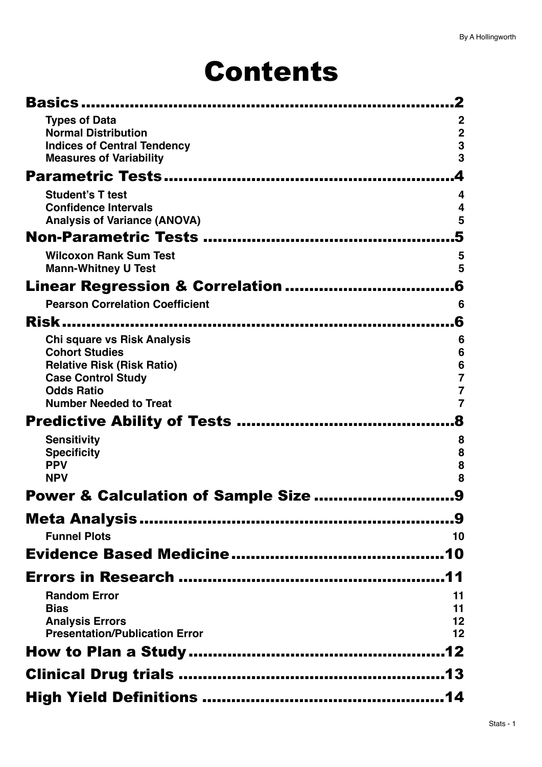# Contents

| Basics.                                            |                                  |
|----------------------------------------------------|----------------------------------|
| <b>Types of Data</b>                               | $\mathbf 2$                      |
| <b>Normal Distribution</b>                         | $\mathbf 2$                      |
| <b>Indices of Central Tendency</b>                 | 3                                |
| <b>Measures of Variability</b>                     | 3                                |
|                                                    | 4                                |
| <b>Student's T test</b>                            | 4                                |
| <b>Confidence Intervals</b>                        | 4                                |
| <b>Analysis of Variance (ANOVA)</b>                | 5                                |
|                                                    | 5                                |
| <b>Wilcoxon Rank Sum Test</b>                      | 5                                |
| <b>Mann-Whitney U Test</b>                         | 5                                |
| Linear Regression & Correlation                    | 6                                |
| <b>Pearson Correlation Coefficient</b>             | 6                                |
| Risk.                                              | 6                                |
| Chi square vs Risk Analysis                        | 6                                |
| <b>Cohort Studies</b>                              | 6                                |
| <b>Relative Risk (Risk Ratio)</b>                  | $\frac{6}{7}$                    |
| <b>Case Control Study</b>                          |                                  |
| <b>Odds Ratio</b><br><b>Number Needed to Treat</b> | $\overline{7}$<br>$\overline{7}$ |
|                                                    |                                  |
|                                                    |                                  |
| <b>Sensitivity</b>                                 | 8                                |
| <b>Specificity</b><br><b>PPV</b>                   | 8<br>8                           |
| <b>NPV</b>                                         | 8                                |
| Power & Calculation of Sample Size                 | 9                                |
|                                                    |                                  |
|                                                    |                                  |
| <b>Funnel Plots</b>                                | 10                               |
|                                                    |                                  |
|                                                    |                                  |
| <b>Random Error</b>                                | 11                               |
| <b>Bias</b>                                        | 11                               |
| <b>Analysis Errors</b>                             | 12                               |
| <b>Presentation/Publication Error</b>              | 12                               |
|                                                    |                                  |
|                                                    |                                  |
|                                                    |                                  |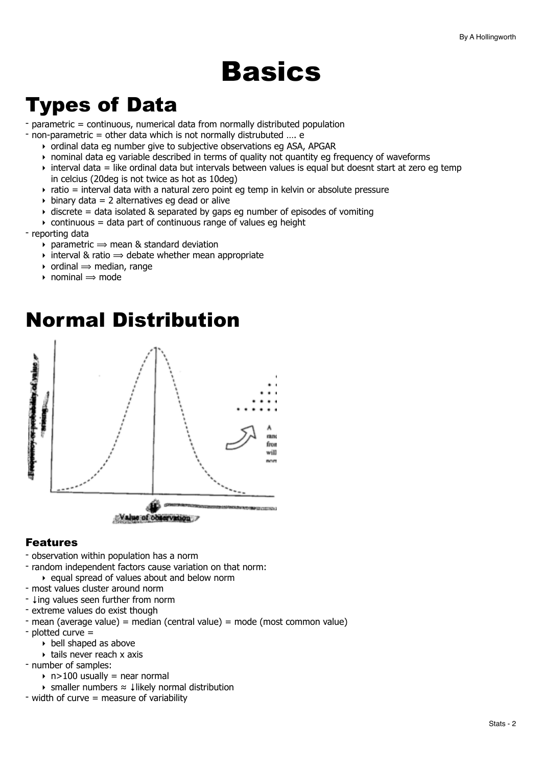# <span id="page-1-0"></span>**Basics**

# <span id="page-1-1"></span>Types of Data

- parametric = continuous, numerical data from normally distributed population

- non-parametric = other data which is not normally distrubuted …. e
	- ‣ ordinal data eg number give to subjective observations eg ASA, APGAR
	- ‣ nominal data eg variable described in terms of quality not quantity eg frequency of waveforms
	- $\rightarrow$  interval data = like ordinal data but intervals between values is equal but doesnt start at zero eg temp in celcius (20deg is not twice as hot as 10deg)
	- $\rightarrow$  ratio = interval data with a natural zero point eg temp in kelvin or absolute pressure
	- $\rightarrow$  binary data = 2 alternatives eg dead or alive
	- $\rightarrow$  discrete = data isolated & separated by gaps eg number of episodes of vomiting
	- $\rightarrow$  continuous = data part of continuous range of values eg height

- reporting data

- $\rightarrow$  parametric  $\rightarrow$  mean & standard deviation
- $\rightarrow$  interval & ratio  $\rightarrow$  debate whether mean appropriate
- $\rightarrow$  ordinal  $\rightarrow$  median, range
- $\rightarrow$  nominal  $\rightarrow$  mode



## <span id="page-1-2"></span>Normal Distribution

## Features

- observation within population has a norm
- random independent factors cause variation on that norm:
	- ‣ equal spread of values about and below norm
- most values cluster around norm
- ↓ing values seen further from norm
- extreme values do exist though
- mean (average value) = median (central value) = mode (most common value)
- plotted curve =
	- ‣ bell shaped as above
	- ‣ tails never reach x axis
- number of samples:
	- $\rightarrow$  n>100 usually = near normal
	- ‣ smaller numbers ≈ ↓likely normal distribution
- width of curve  $=$  measure of variability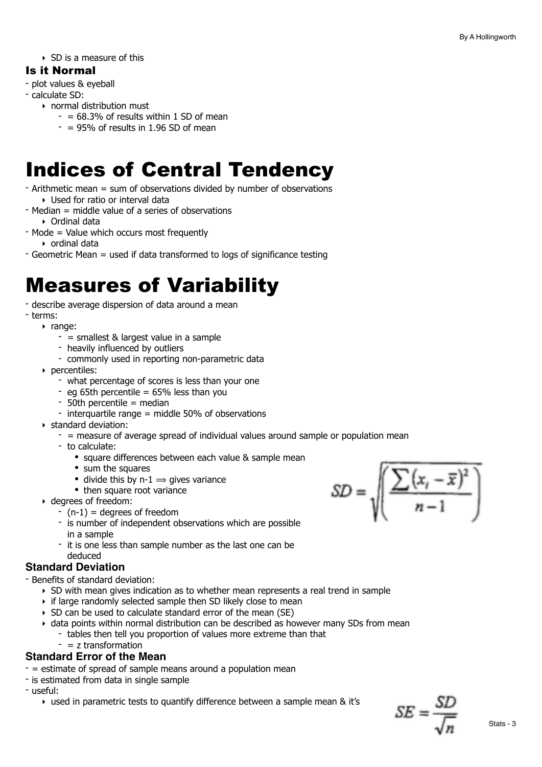$\triangleright$  SD is a measure of this

## Is it Normal

- plot values & eyeball
- calculate SD:
	- ‣ normal distribution must
		- $-$  = 68.3% of results within 1 SD of mean
		- $-$  = 95% of results in 1.96 SD of mean

# <span id="page-2-0"></span>Indices of Central Tendency

- Arithmetic mean = sum of observations divided by number of observations ‣ Used for ratio or interval data
- $-$  Median  $=$  middle value of a series of observations ‣ Ordinal data
- Mode = Value which occurs most frequently ‣ ordinal data
- Geometric Mean = used if data transformed to logs of significance testing

# <span id="page-2-1"></span>Measures of Variability

- describe average dispersion of data around a mean
- terms:
	- ‣ range:
		- $-$  = smallest & largest value in a sample
		- heavily influenced by outliers
		- commonly used in reporting non-parametric data
	- ‣ percentiles:
		- what percentage of scores is less than your one
		- eg 65th percentile =  $65\%$  less than you
		- 50th percentile = median
		- interquartile range = middle 50% of observations
	- ‣ standard deviation:
		- $-$  = measure of average spread of individual values around sample or population mean
		- to calculate:
			- square differences between each value & sample mean
			- sum the squares
			- divide this by  $n-1 \implies$  gives variance
		- then square root variance
	- ‣ degrees of freedom:
		- $-$  (n-1) = degrees of freedom
		- is number of independent observations which are possible in a sample
		- it is one less than sample number as the last one can be deduced

## **Standard Deviation**

- Benefits of standard deviation:

- ‣ SD with mean gives indication as to whether mean represents a real trend in sample
- ‣ if large randomly selected sample then SD likely close to mean
- ‣ SD can be used to calculate standard error of the mean (SE)
- ‣ data points within normal distribution can be described as however many SDs from mean - tables then tell you proportion of values more extreme than that
	- $-$  = z transformation

## **Standard Error of the Mean**

- = estimate of spread of sample means around a population mean
- is estimated from data in single sample
- useful:
	- ‣ used in parametric tests to quantify difference between a sample mean & it's

 $SD = \sqrt{\frac{\sum (x_i - \overline{x})^2}{n-1}}$ 

 $SE = \frac{51}{5}$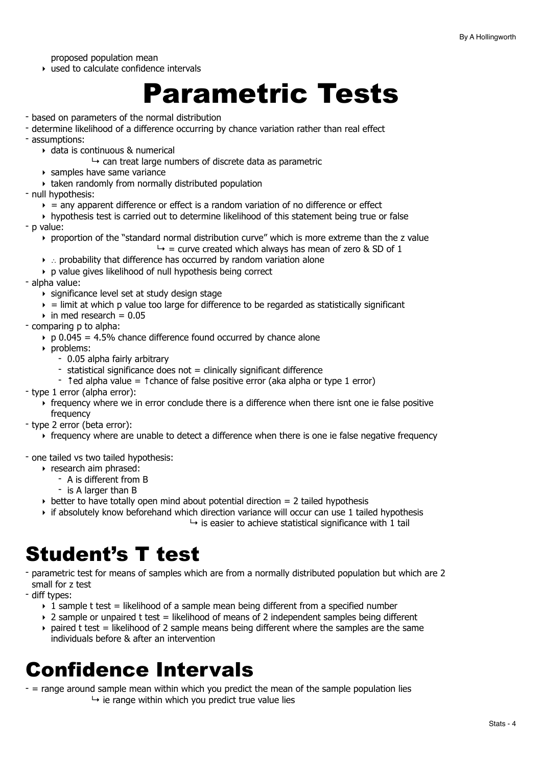proposed population mean

‣ used to calculate confidence intervals

# <span id="page-3-0"></span>Parametric Tests

- based on parameters of the normal distribution
- determine likelihood of a difference occurring by chance variation rather than real effect
- assumptions:
	- ‣ data is continuous & numerical
		- $\rightarrow$  can treat large numbers of discrete data as parametric
	- ‣ samples have same variance
	- ‣ taken randomly from normally distributed population
- null hypothesis:
	- $\rightarrow$  = any apparent difference or effect is a random variation of no difference or effect
	- ‣ hypothesis test is carried out to determine likelihood of this statement being true or false
- p value:
	- ‣ proportion of the "standard normal distribution curve" which is more extreme than the z value
		- $\rightarrow$  = curve created which always has mean of zero & SD of 1
	- ‣ ∴ probability that difference has occurred by random variation alone
	- ‣ p value gives likelihood of null hypothesis being correct
- alpha value:
	- ‣ significance level set at study design stage
	- $\epsilon$  = limit at which p value too large for difference to be regarded as statistically significant
	- $\rightarrow$  in med research = 0.05
- comparing p to alpha:
	- $\rightarrow$  p 0.045 = 4.5% chance difference found occurred by chance alone
	- ‣ problems:
		- 0.05 alpha fairly arbitrary
		- $-$  statistical significance does not  $=$  clinically significant difference
		- $\sim$  1 ed alpha value = 1 chance of false positive error (aka alpha or type 1 error)
- type 1 error (alpha error):
	- ‣ frequency where we in error conclude there is a difference when there isnt one ie false positive frequency
- type 2 error (beta error):
	- ‣ frequency where are unable to detect a difference when there is one ie false negative frequency

- one tailed vs two tailed hypothesis:

- ‣ research aim phrased:
	- A is different from B
	- is A larger than B
- $\rightarrow$  better to have totally open mind about potential direction = 2 tailed hypothesis
- ‣ if absolutely know beforehand which direction variance will occur can use 1 tailed hypothesis

 $\rightarrow$  is easier to achieve statistical significance with 1 tail

# <span id="page-3-1"></span>Student's T test

- parametric test for means of samples which are from a normally distributed population but which are 2 small for z test
- diff types:
	- $\rightarrow$  1 sample t test = likelihood of a sample mean being different from a specified number
	- $\rightarrow$  2 sample or unpaired t test = likelihood of means of 2 independent samples being different
	- $\rightarrow$  paired t test = likelihood of 2 sample means being different where the samples are the same individuals before & after an intervention

# <span id="page-3-2"></span>Confidence Intervals

- = range around sample mean within which you predict the mean of the sample population lies  $\rightarrow$  ie range within which you predict true value lies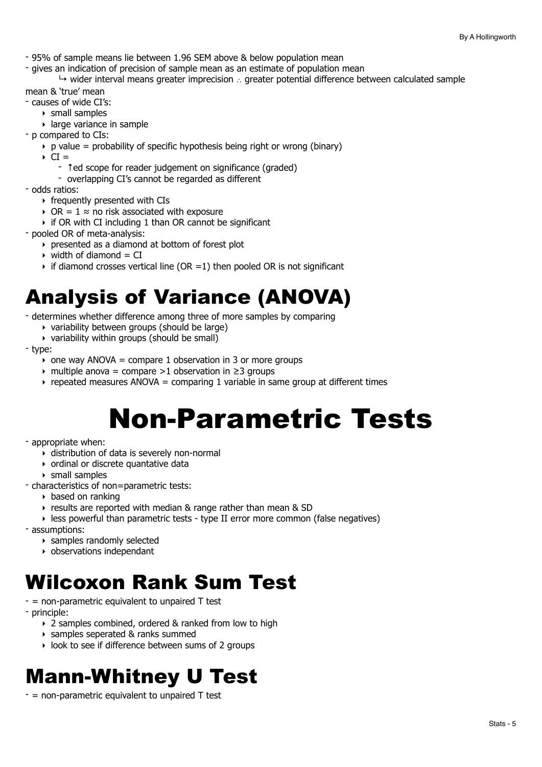- 95% of sample means lie between 1.96 SEM above & below population mean

- gives an indication of precision of sample mean as an estimate of population mean

↳ wider interval means greater imprecision ∴ greater potential difference between calculated sample

mean & 'true' mean

- causes of wide CI's:

- ‣ small samples
- ‣ large variance in sample
- p compared to CIs:
	- $\rightarrow$  p value = probability of specific hypothesis being right or wrong (binary)
	- $\triangleright$  CI =
		- ↑ed scope for reader judgement on significance (graded)
		- overlapping CI's cannot be regarded as different
- odds ratios:
	- ‣ frequently presented with CIs
	- $\rightarrow$  OR = 1 ≈ no risk associated with exposure
	- ‣ if OR with CI including 1 than OR cannot be significant
- pooled OR of meta-analysis:
	- ‣ presented as a diamond at bottom of forest plot
	- $\rightarrow$  width of diamond = CI
	- $\rightarrow$  if diamond crosses vertical line (OR =1) then pooled OR is not significant

# <span id="page-4-0"></span>Analysis of Variance (ANOVA)

- determines whether difference among three of more samples by comparing
	- ‣ variability between groups (should be large)
	- ‣ variability within groups (should be small)

- type:

- $\rightarrow$  one way ANOVA = compare 1 observation in 3 or more groups
- $\rightarrow$  multiple anova = compare >1 observation in  $\geq$ 3 groups
- $\rightarrow$  repeated measures ANOVA = comparing 1 variable in same group at different times

# <span id="page-4-1"></span>Non-Parametric Tests

#### - appropriate when:

- ‣ distribution of data is severely non-normal
- ‣ ordinal or discrete quantative data
- ‣ small samples
- characteristics of non=parametric tests:
	- ‣ based on ranking
	- ‣ results are reported with median & range rather than mean & SD
	- ‣ less powerful than parametric tests type II error more common (false negatives)
- assumptions:
	- ‣ samples randomly selected
	- ‣ observations independant

## <span id="page-4-2"></span>Wilcoxon Rank Sum Test

- $-$  = non-parametric equivalent to unpaired  $\top$  test
- principle:
	- ‣ 2 samples combined, ordered & ranked from low to high
	- ‣ samples seperated & ranks summed
	- ‣ look to see if difference between sums of 2 groups

# <span id="page-4-3"></span>Mann-Whitney U Test

 $-$  = non-parametric equivalent to unpaired  $\bar{T}$  test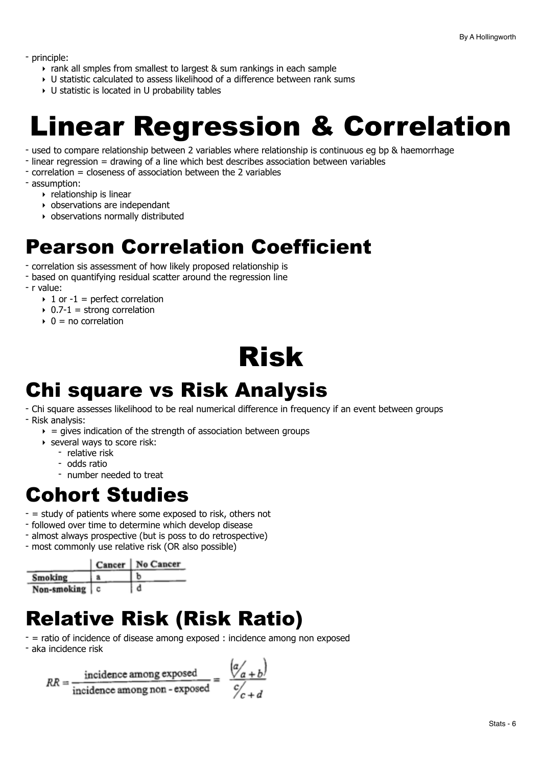- principle:

- ‣ rank all smples from smallest to largest & sum rankings in each sample
- ‣ U statistic calculated to assess likelihood of a difference between rank sums
- ‣ U statistic is located in U probability tables

# <span id="page-5-0"></span>Linear Regression & Correlation

- used to compare relationship between 2 variables where relationship is continuous eg bp & haemorrhage
- linear regression = drawing of a line which best describes association between variables
- correlation = closeness of association between the 2 variables
- assumption:
	- ‣ relationship is linear
	- ‣ observations are independant
	- ‣ observations normally distributed

## <span id="page-5-1"></span>Pearson Correlation Coefficient

- correlation sis assessment of how likely proposed relationship is
- based on quantifying residual scatter around the regression line
- r value:
	- $\rightarrow$  1 or -1 = perfect correlation
	- $\rightarrow$  0.7-1 = strong correlation
	- $\rightarrow$  0 = no correlation

<span id="page-5-2"></span>

## <span id="page-5-3"></span>Chi square vs Risk Analysis

- Chi square assesses likelihood to be real numerical difference in frequency if an event between groups - Risk analysis:
	- $\rightarrow$  = gives indication of the strength of association between groups
	- ‣ several ways to score risk:
		- relative risk
		- odds ratio
		- number needed to treat

## <span id="page-5-4"></span>Cohort Studies

- $-$  = study of patients where some exposed to risk, others not
- followed over time to determine which develop disease
- almost always prospective (but is poss to do retrospective)
- most commonly use relative risk (OR also possible)

|                 | Cancer   No Cancer |
|-----------------|--------------------|
| Smoking         |                    |
| Non-smoking   c |                    |

# <span id="page-5-5"></span>Relative Risk (Risk Ratio)

- = ratio of incidence of disease among exposed : incidence among non exposed
- aka incidence risk

$$
RR = \frac{\text{incidence among exposed}}{\text{incidence among non-exposed}}
$$

$$
= \frac{\left(\alpha/_{a+b}\right)}{\alpha/_{c+d}}
$$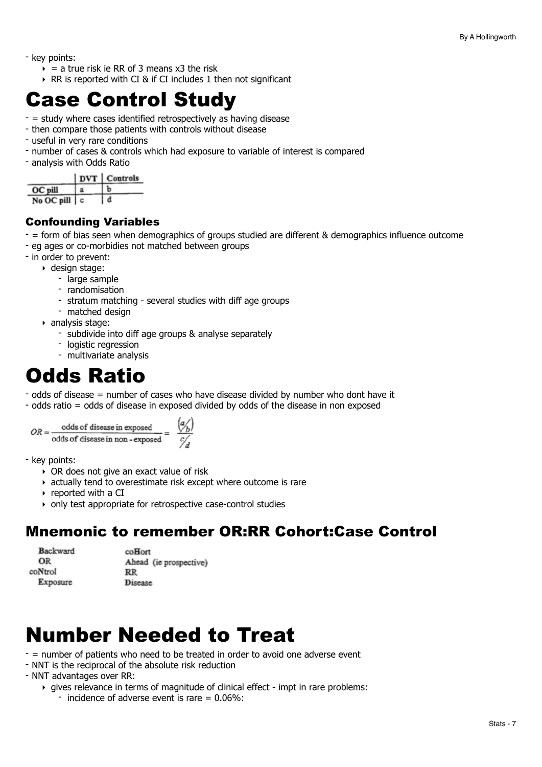- key points:
	- $\rightarrow$  = a true risk ie RR of 3 means x3 the risk
	- ‣ RR is reported with CI & if CI includes 1 then not significant

## <span id="page-6-0"></span>Case Control Study

- = study where cases identified retrospectively as having disease
- then compare those patients with controls without disease
- useful in very rare conditions
- number of cases & controls which had exposure to variable of interest is compared
- analysis with Odds Ratio

| DVT Controls |  |
|--------------|--|
|--------------|--|

| <b>OC</b> pill    |  |
|-------------------|--|
| $NoOC$ pill $ c $ |  |

## Confounding Variables

- = form of bias seen when demographics of groups studied are different & demographics influence outcome
- eg ages or co-morbidies not matched between groups
- in order to prevent:
	- ‣ design stage:
		- large sample
		- randomisation
		- stratum matching several studies with diff age groups
		- matched design
	- ‣ analysis stage:
		- subdivide into diff age groups & analyse separately
		- logistic regression
		- multivariate analysis

## <span id="page-6-1"></span>Odds Ratio

- odds of disease = number of cases who have disease divided by number who dont have it
- odds ratio = odds of disease in exposed divided by odds of the disease in non exposed

```
odds of disease in exposed \frac{q}{q}<br>odds of disease in non-exposed = \frac{q}{q}OR = -
```
- key points:

- ‣ OR does not give an exact value of risk
- ‣ actually tend to overestimate risk except where outcome is rare
- ‣ reported with a CI
- ‣ only test appropriate for retrospective case-control studies

## Mnemonic to remember OR:RR Cohort:Case Control

| Backward | coHort                 |
|----------|------------------------|
| OR       | Ahead (ie prospective) |
| coNtrol  | $_{\rm RR}$            |
| Exposure | <b>Disease</b>         |

# <span id="page-6-2"></span>Number Needed to Treat

- = number of patients who need to be treated in order to avoid one adverse event

- NNT is the reciprocal of the absolute risk reduction
- NNT advantages over RR:
	- ‣ gives relevance in terms of magnitude of clinical effect impt in rare problems:
		- incidence of adverse event is rare  $= 0.06\%$ :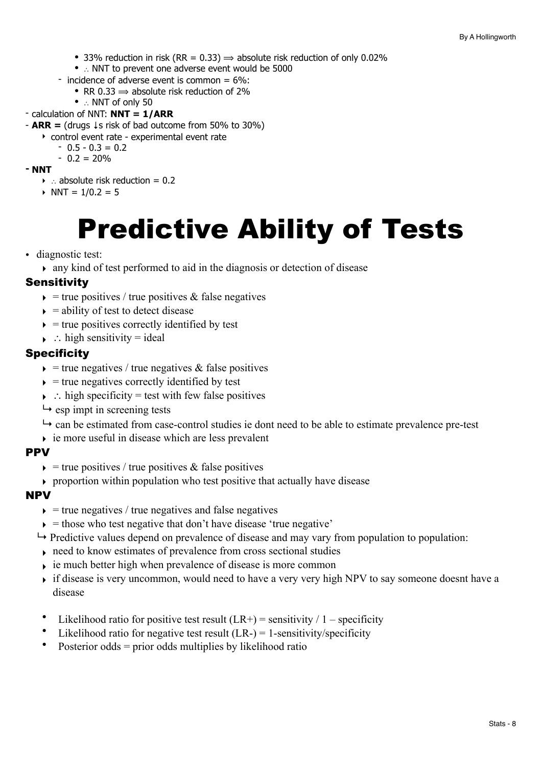- 33% reduction in risk (RR = 0.33)  $\Rightarrow$  absolute risk reduction of only 0.02%
- ∴ NNT to prevent one adverse event would be 5000
- incidence of adverse event is common  $= 6\%$ :
	- RR 0.33  $\Rightarrow$  absolute risk reduction of 2%
	- ∴ NNT of only 50
- calculation of NNT: **NNT = 1/ARR**
- **ARR =** (drugs ↓s risk of bad outcome from 50% to 30%)
	- ‣ control event rate experimental event rate
		- $-0.5 0.3 = 0.2$
	- $0.2 = 20\%$
- **- NNT** 
	- ‣ ∴ absolute risk reduction = 0.2
	- $\triangleright$  NNT = 1/0.2 = 5

# <span id="page-7-0"></span>Predictive Ability of Tests

• diagnostic test:

‣ any kind of test performed to aid in the diagnosis or detection of disease

## <span id="page-7-1"></span>**Sensitivity**

- $\rightarrow$  = true positives / true positives & false negatives
- $\rightarrow$  = ability of test to detect disease
- $\rightarrow$  = true positives correctly identified by test
- $\rightarrow$  : high sensitivity = ideal

## <span id="page-7-2"></span>**Specificity**

- $\rightarrow$  = true negatives / true negatives & false positives
- $\rightarrow$  = true negatives correctly identified by test
- $\rightarrow$  ∴ high specificity = test with few false positives
- $ightharpoonup$  esp impt in screening tests
- $ightharpoonup$  can be estimated from case-control studies ie dont need to be able to estimate prevalence pre-test
- $\rightarrow$  ie more useful in disease which are less prevalent

## <span id="page-7-3"></span>PPV

- $\epsilon$  = true positives / true positives & false positives
- $\rightarrow$  proportion within population who test positive that actually have disease

## <span id="page-7-4"></span>NPV

- $\rightarrow$  = true negatives / true negatives and false negatives
- $\rightarrow$  = those who test negative that don't have disease 'true negative'
- $\rightarrow$  Predictive values depend on prevalence of disease and may vary from population to population:
- ‣ need to know estimates of prevalence from cross sectional studies
- $\rightarrow$  ie much better high when prevalence of disease is more common
- if disease is very uncommon, would need to have a very very high NPV to say someone doesnt have a disease
- Likelihood ratio for positive test result  $(LR+)$  = sensitivity / 1 specificity
- Likelihood ratio for negative test result  $(LR-) = 1$ -sensitivity/specificity
- Posterior odds  $=$  prior odds multiplies by likelihood ratio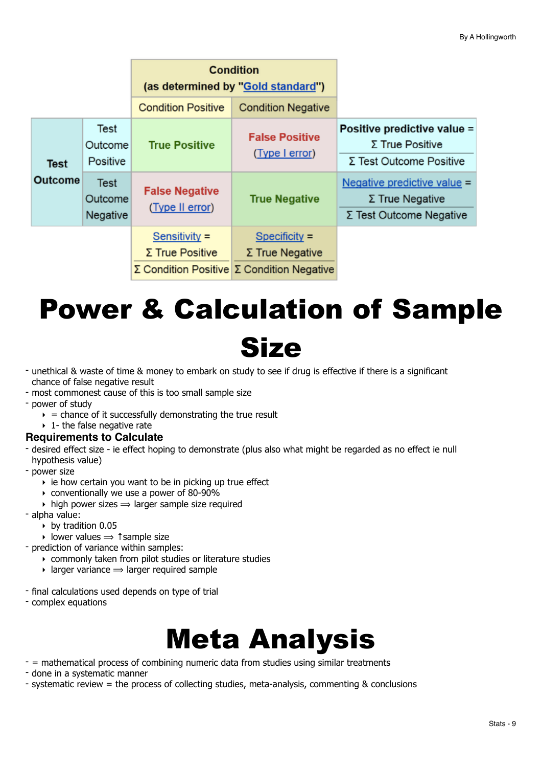|                |                             | <b>Condition</b><br>(as determined by "Gold standard") |                                                                                                      |                                                                                         |
|----------------|-----------------------------|--------------------------------------------------------|------------------------------------------------------------------------------------------------------|-----------------------------------------------------------------------------------------|
|                |                             | <b>Condition Positive</b>                              | <b>Condition Negative</b>                                                                            |                                                                                         |
| <b>Test</b>    | Test<br>Outcome<br>Positive | <b>True Positive</b>                                   | <b>False Positive</b><br>(Type I error)                                                              | Positive predictive value =<br>$\Sigma$ True Positive<br>Σ Test Outcome Positive        |
| <b>Outcome</b> | Test<br>Outcome<br>Negative | <b>False Negative</b><br>(Type II error)               | <b>True Negative</b>                                                                                 | Negative predictive value =<br>$\Sigma$ True Negative<br>$\Sigma$ Test Outcome Negative |
|                |                             | Sensitivity $=$<br>$\Sigma$ True Positive              | $Specificity =$<br>$\Sigma$ True Negative<br>$\Sigma$ Condition Positive $\Sigma$ Condition Negative |                                                                                         |

# <span id="page-8-0"></span>Power & Calculation of Sample **Size**

- unethical & waste of time & money to embark on study to see if drug is effective if there is a significant chance of false negative result
- most commonest cause of this is too small sample size
- power of study
	- $\epsilon$  = chance of it successfully demonstrating the true result
	- $\rightarrow$  1- the false negative rate
- **Requirements to Calculate**
- desired effect size ie effect hoping to demonstrate (plus also what might be regarded as no effect ie null hypothesis value)
- power size
	- $\rightarrow$  ie how certain you want to be in picking up true effect
	- ‣ conventionally we use a power of 80-90%
	- $\rightarrow$  high power sizes  $\rightarrow$  larger sample size required
- alpha value:
	- ‣ by tradition 0.05
	- $\rightarrow$  lower values  $\rightarrow$  ↑ sample size
- prediction of variance within samples:
	- ‣ commonly taken from pilot studies or literature studies
	- $\rightarrow$  larger variance  $\rightarrow$  larger required sample
- final calculations used depends on type of trial
- complex equations

# <span id="page-8-1"></span>Meta Analysis

- = mathematical process of combining numeric data from studies using similar treatments
- done in a systematic manner
- systematic review = the process of collecting studies, meta-analysis, commenting & conclusions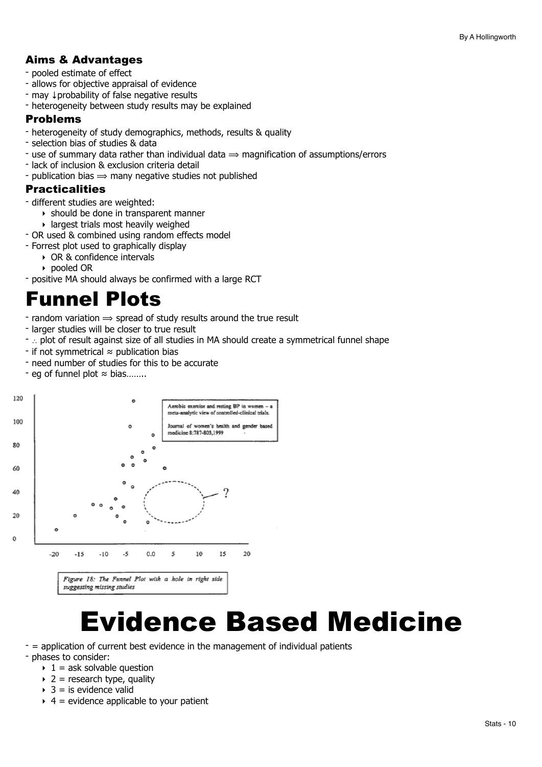## Aims & Advantages

- pooled estimate of effect
- allows for objective appraisal of evidence
- may ↓probability of false negative results
- heterogeneity between study results may be explained

## Problems

- heterogeneity of study demographics, methods, results & quality
- selection bias of studies & data
- use of summary data rather than individual data  $\Rightarrow$  magnification of assumptions/errors
- lack of inclusion & exclusion criteria detail
- publication bias  $\Rightarrow$  many negative studies not published

## Practicalities

- different studies are weighted:
	- ‣ should be done in transparent manner
	- $\rightarrow$  largest trials most heavily weighed
- OR used & combined using random effects model
- Forrest plot used to graphically display
	- ‣ OR & confidence intervals
	- ‣ pooled OR
- positive MA should always be confirmed with a large RCT

## <span id="page-9-0"></span>Funnel Plots

- random variation  $\Rightarrow$  spread of study results around the true result
- larger studies will be closer to true result
- ∴ plot of result against size of all studies in MA should create a symmetrical funnel shape
- if not symmetrical ≈ publication bias
- need number of studies for this to be accurate
- eg of funnel plot ≈ bias……..



suggesting missing studies

# <span id="page-9-1"></span>Evidence Based Medicine

- $-$  = application of current best evidence in the management of individual patients - phases to consider:
	- $\rightarrow$  1 = ask solvable question
	- $\rightarrow$  2 = research type, quality
	- $\rightarrow$  3 = is evidence valid
	- $\rightarrow$  4 = evidence applicable to your patient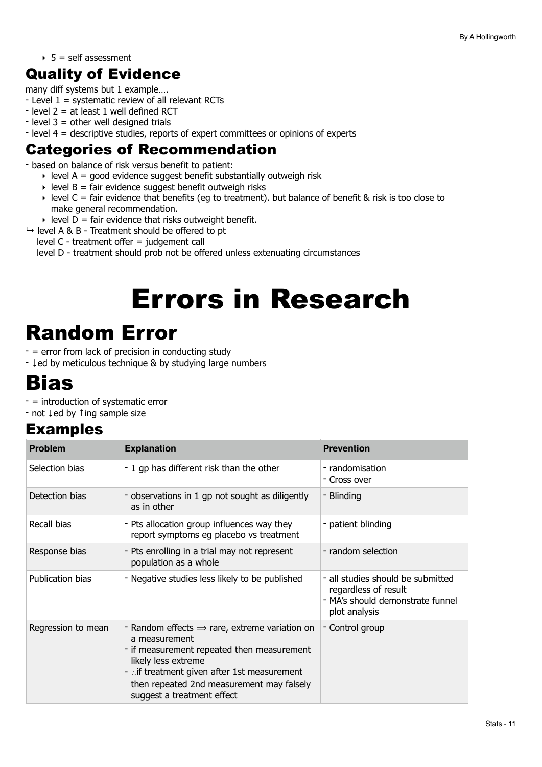$\rightarrow$  5 = self assessment

## Quality of Evidence

many diff systems but 1 example….

- Level 1 = systematic review of all relevant RCTs
- $-$  level 2 = at least 1 well defined RCT
- $-$  level 3 = other well designed trials
- level 4 = descriptive studies, reports of expert committees or opinions of experts

## Categories of Recommendation

- based on balance of risk versus benefit to patient:

- $\rightarrow$  level A = good evidence suggest benefit substantially outweigh risk
- $\rightarrow$  level B = fair evidence suggest benefit outweigh risks
- $\rightarrow$  level C = fair evidence that benefits (eg to treatment). but balance of benefit & risk is too close to make general recommendation.
- $\rightarrow$  level D = fair evidence that risks outweight benefit.
- $\rightarrow$  level A & B Treatment should be offered to pt
	- level C treatment offer = judgement call

level D - treatment should prob not be offered unless extenuating circumstances

# <span id="page-10-0"></span>Errors in Research

# <span id="page-10-1"></span>Random Error

- = error from lack of precision in conducting study

- ↓ed by meticulous technique & by studying large numbers

## <span id="page-10-2"></span>Bias

- = introduction of systematic error
- not ↓ed by ↑ing sample size

## Examples

| <b>Problem</b>     | <b>Explanation</b>                                                                                                                                                                                                                                                       | <b>Prevention</b>                                                                                              |
|--------------------|--------------------------------------------------------------------------------------------------------------------------------------------------------------------------------------------------------------------------------------------------------------------------|----------------------------------------------------------------------------------------------------------------|
| Selection bias     | - 1 gp has different risk than the other                                                                                                                                                                                                                                 | - randomisation<br>- Cross over                                                                                |
| Detection bias     | - observations in 1 gp not sought as diligently<br>as in other                                                                                                                                                                                                           | - Blinding                                                                                                     |
| Recall bias        | - Pts allocation group influences way they<br>report symptoms eg placebo vs treatment                                                                                                                                                                                    | - patient blinding                                                                                             |
| Response bias      | - Pts enrolling in a trial may not represent<br>population as a whole                                                                                                                                                                                                    | - random selection                                                                                             |
| Publication bias   | - Negative studies less likely to be published                                                                                                                                                                                                                           | - all studies should be submitted<br>regardless of result<br>- MA's should demonstrate funnel<br>plot analysis |
| Regression to mean | - Random effects $\Rightarrow$ rare, extreme variation on<br>a measurement<br>- if measurement repeated then measurement<br>likely less extreme<br>- if treatment given after 1st measurement<br>then repeated 2nd measurement may falsely<br>suggest a treatment effect | - Control group                                                                                                |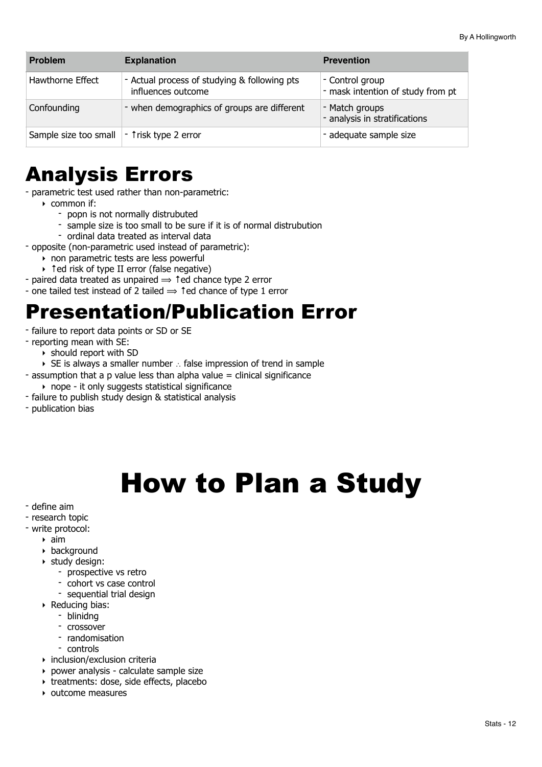| <b>Problem</b>                                | <b>Explanation</b>                                                 | <b>Prevention</b>                                    |
|-----------------------------------------------|--------------------------------------------------------------------|------------------------------------------------------|
| Hawthorne Effect                              | - Actual process of studying & following pts<br>influences outcome | - Control group<br>- mask intention of study from pt |
| Confounding                                   | - when demographics of groups are different                        | - Match groups<br>- analysis in stratifications      |
| Sample size too small   - 1 risk type 2 error |                                                                    | - adequate sample size                               |

## <span id="page-11-0"></span>Analysis Errors

- parametric test used rather than non-parametric:

- ‣ common if:
	- popn is not normally distrubuted
	- sample size is too small to be sure if it is of normal distrubution
	- ordinal data treated as interval data
- opposite (non-parametric used instead of parametric):
	- ‣ non parametric tests are less powerful
	- ‣ ↑ed risk of type II error (false negative)
- paired data treated as unpaired  $\Rightarrow$  1 ed chance type 2 error
- one tailed test instead of 2 tailed  $\Rightarrow$  1 ed chance of type 1 error

## <span id="page-11-1"></span>Presentation/Publication Error

- failure to report data points or SD or SE
- reporting mean with SE:
	- ‣ should report with SD
- ‣ SE is always a smaller number ∴ false impression of trend in sample
- $-$  assumption that a p value less than alpha value  $=$  clinical significance
	- ‣ nope it only suggests statistical significance
- failure to publish study design & statistical analysis
- publication bias

# <span id="page-11-2"></span>How to Plan a Study

- define aim
- research topic
- write protocol:
	- $\rightarrow$  aim
	- ‣ background
	- ‣ study design:
		- prospective vs retro
		- cohort vs case control
		- sequential trial design
	- ‣ Reducing bias:
		- blinidng
		- crossover
		- randomisation
		- controls
	- ‣ inclusion/exclusion criteria
	- ‣ power analysis calculate sample size
	- ‣ treatments: dose, side effects, placebo
	- ‣ outcome measures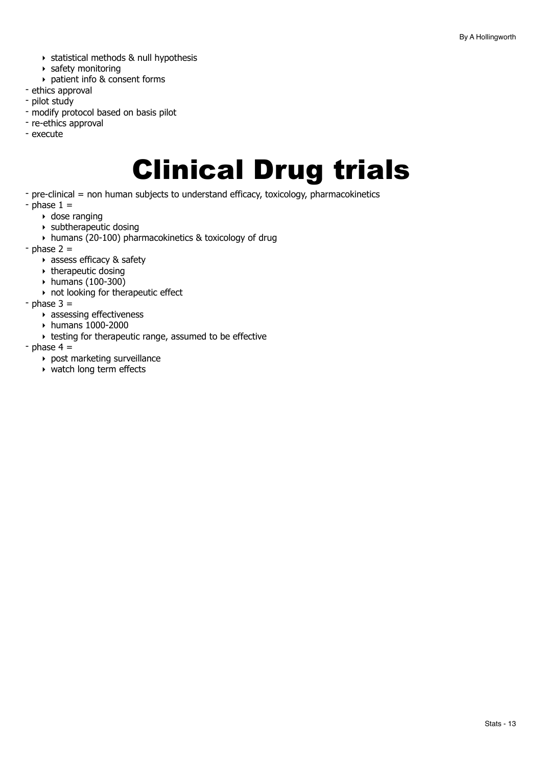- ‣ statistical methods & null hypothesis
- ‣ safety monitoring
- ‣ patient info & consent forms
- ethics approval
- pilot study
- modify protocol based on basis pilot
- re-ethics approval
- execute

# <span id="page-12-0"></span>Clinical Drug trials

- pre-clinical = non human subjects to understand efficacy, toxicology, pharmacokinetics
- $-$  phase  $1 =$ 
	- ‣ dose ranging
	- $\rightarrow$  subtherapeutic dosing
	- ‣ humans (20-100) pharmacokinetics & toxicology of drug
- $-$  phase 2  $=$ 
	- ‣ assess efficacy & safety
	- $\rightarrow$  therapeutic dosing
	- ‣ humans (100-300)
	- $\rightarrow$  not looking for therapeutic effect
- $-$  phase  $3 =$ 
	- ‣ assessing effectiveness
	- ‣ humans 1000-2000
	- ‣ testing for therapeutic range, assumed to be effective
- $-$  phase 4  $=$ 
	- ‣ post marketing surveillance
	- ‣ watch long term effects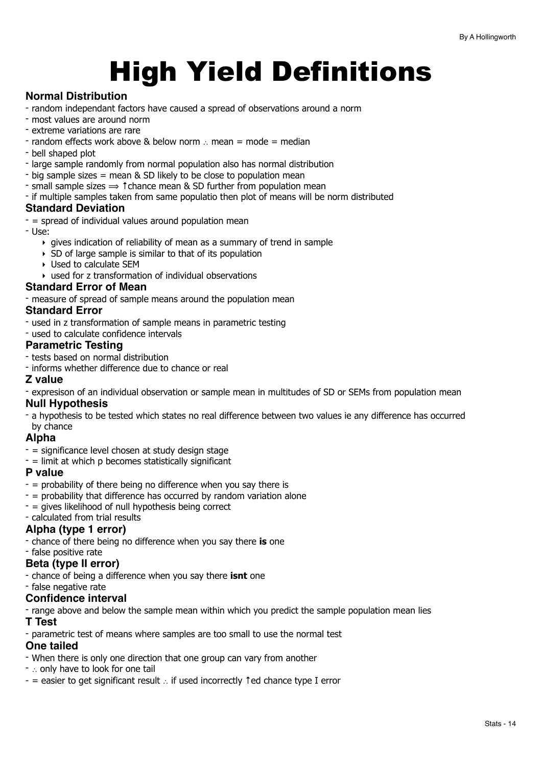# <span id="page-13-0"></span>High Yield Definitions

## **Normal Distribution**

- random independant factors have caused a spread of observations around a norm
- most values are around norm
- extreme variations are rare
- random effects work above & below norm ∴ mean = mode = median
- bell shaped plot
- large sample randomly from normal population also has normal distribution
- big sample sizes = mean & SD likely to be close to population mean
- $\overline{\phantom{a}}$  small sample sizes  $\Rightarrow$   $\overline{\phantom{a}}$  tchance mean & SD further from population mean
- if multiple samples taken from same populatio then plot of means will be norm distributed

## **Standard Deviation**

- $-$  = spread of individual values around population mean
- Use:
	- $\rightarrow$  gives indication of reliability of mean as a summary of trend in sample
	- ‣ SD of large sample is similar to that of its population
	- ‣ Used to calculate SEM
	- $\rightarrow$  used for z transformation of individual observations

#### **Standard Error of Mean**

- measure of spread of sample means around the population mean

#### **Standard Error**

- used in z transformation of sample means in parametric testing
- used to calculate confidence intervals

## **Parametric Testing**

- tests based on normal distribution
- informs whether difference due to chance or real

#### **Z value**

- expresison of an individual observation or sample mean in multitudes of SD or SEMs from population mean

## **Null Hypothesis**

- a hypothesis to be tested which states no real difference between two values ie any difference has occurred by chance

## **Alpha**

- $-$  = significance level chosen at study design stage
- $-$  = limit at which p becomes statistically significant

## **P value**

- $-$  = probability of there being no difference when you say there is
- $-$  = probability that difference has occurred by random variation alone
- $-$  = gives likelihood of null hypothesis being correct
- calculated from trial results

## **Alpha (type 1 error)**

- chance of there being no difference when you say there **is** one
- false positive rate

## **Beta (type II error)**

- chance of being a difference when you say there **isnt** one
- false negative rate

## **Confidence interval**

- range above and below the sample mean within which you predict the sample population mean lies

**T Test**

- parametric test of means where samples are too small to use the normal test

## **One tailed**

- When there is only one direction that one group can vary from another
- ∴ only have to look for one tail
- = easier to get significant result ∴ if used incorrectly ↑ed chance type I error